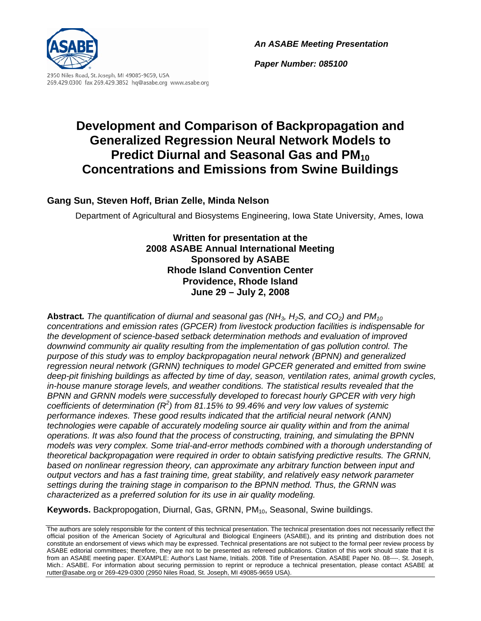*An ASABE Meeting Presentation*

*Paper Number: 085100*



2950 Niles Road, St. Joseph, MI 49085-9659, USA 269.429.0300 fax 269.429.3852 hq@asabe.org www.asabe.org

# **Development and Comparison of Backpropagation and Generalized Regression Neural Network Models to Predict Diurnal and Seasonal Gas and PM10 Concentrations and Emissions from Swine Buildings**

### **Gang Sun, Steven Hoff, Brian Zelle, Minda Nelson**

Department of Agricultural and Biosystems Engineering, Iowa State University, Ames, Iowa

#### **Written for presentation at the 2008 ASABE Annual International Meeting Sponsored by ASABE Rhode Island Convention Center Providence, Rhode Island June 29 – July 2, 2008**

Abstract*.* The quantification of diurnal and seasonal gas (NH<sub>3</sub>, H<sub>2</sub>S, and CO<sub>2</sub>) and PM<sub>10</sub> *concentrations and emission rates (GPCER) from livestock production facilities is indispensable for the development of science-based setback determination methods and evaluation of improved downwind community air quality resulting from the implementation of gas pollution control. The purpose of this study was to employ backpropagation neural network (BPNN) and generalized regression neural network (GRNN) techniques to model GPCER generated and emitted from swine deep-pit finishing buildings as affected by time of day, season, ventilation rates, animal growth cycles, in-house manure storage levels, and weather conditions. The statistical results revealed that the BPNN and GRNN models were successfully developed to forecast hourly GPCER with very high coefficients of determination (R<sup>2</sup> ) from 81.15% to 99.46% and very low values of systemic performance indexes. These good results indicated that the artificial neural network (ANN) technologies were capable of accurately modeling source air quality within and from the animal operations. It was also found that the process of constructing, training, and simulating the BPNN models was very complex. Some trial-and-error methods combined with a thorough understanding of theoretical backpropagation were required in order to obtain satisfying predictive results. The GRNN, based on nonlinear regression theory, can approximate any arbitrary function between input and output vectors and has a fast training time, great stability, and relatively easy network parameter settings during the training stage in comparison to the BPNN method. Thus, the GRNN was characterized as a preferred solution for its use in air quality modeling.*

Keywords. Backpropogation, Diurnal, Gas, GRNN, PM<sub>10</sub>, Seasonal, Swine buildings.

The authors are solely responsible for the content of this technical presentation. The technical presentation does not necessarily reflect the official position of the American Society of Agricultural and Biological Engineers (ASABE), and its printing and distribution does not constitute an endorsement of views which may be expressed. Technical presentations are not subject to the formal peer review process by ASABE editorial committees; therefore, they are not to be presented as refereed publications. Citation of this work should state that it is from an ASABE meeting paper. EXAMPLE: Author's Last Name, Initials. 2008. Title of Presentation. ASABE Paper No. 08----. St. Joseph, Mich.: ASABE. For information about securing permission to reprint or reproduce a technical presentation, please contact ASABE at rutter@asabe.org or 269-429-0300 (2950 Niles Road, St. Joseph, MI 49085-9659 USA).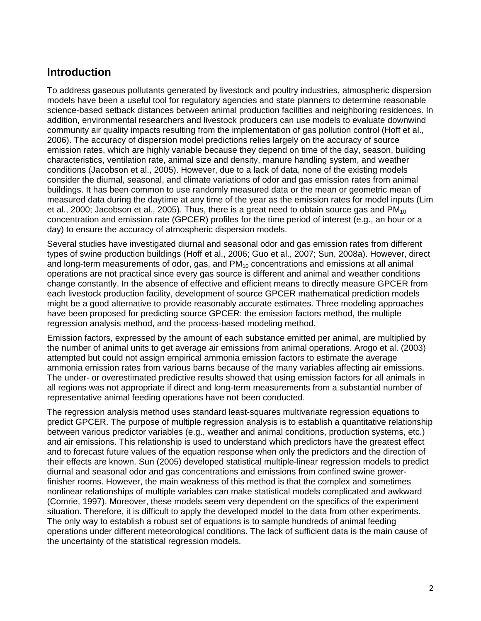## **Introduction**

To address gaseous pollutants generated by livestock and poultry industries, atmospheric dispersion models have been a useful tool for regulatory agencies and state planners to determine reasonable science-based setback distances between animal production facilities and neighboring residences. In addition, environmental researchers and livestock producers can use models to evaluate downwind community air quality impacts resulting from the implementation of gas pollution control (Hoff et al., 2006). The accuracy of dispersion model predictions relies largely on the accuracy of source emission rates, which are highly variable because they depend on time of the day, season, building characteristics, ventilation rate, animal size and density, manure handling system, and weather conditions (Jacobson et al., 2005). However, due to a lack of data, none of the existing models consider the diurnal, seasonal, and climate variations of odor and gas emission rates from animal buildings. It has been common to use randomly measured data or the mean or geometric mean of measured data during the daytime at any time of the year as the emission rates for model inputs (Lim et al., 2000; Jacobson et al., 2005). Thus, there is a great need to obtain source gas and  $PM_{10}$ concentration and emission rate (GPCER) profiles for the time period of interest (e.g., an hour or a day) to ensure the accuracy of atmospheric dispersion models.

Several studies have investigated diurnal and seasonal odor and gas emission rates from different types of swine production buildings (Hoff et al., 2006; Guo et al., 2007; Sun, 2008a). However, direct and long-term measurements of odor, gas, and  $PM_{10}$  concentrations and emissions at all animal operations are not practical since every gas source is different and animal and weather conditions change constantly. In the absence of effective and efficient means to directly measure GPCER from each livestock production facility, development of source GPCER mathematical prediction models might be a good alternative to provide reasonably accurate estimates. Three modeling approaches have been proposed for predicting source GPCER: the emission factors method, the multiple regression analysis method, and the process-based modeling method.

Emission factors, expressed by the amount of each substance emitted per animal, are multiplied by the number of animal units to get average air emissions from animal operations. Arogo et al. (2003) attempted but could not assign empirical ammonia emission factors to estimate the average ammonia emission rates from various barns because of the many variables affecting air emissions. The under- or overestimated predictive results showed that using emission factors for all animals in all regions was not appropriate if direct and long-term measurements from a substantial number of representative animal feeding operations have not been conducted.

The regression analysis method uses standard least-squares multivariate regression equations to predict GPCER. The purpose of multiple regression analysis is to establish a quantitative relationship between various predictor variables (e.g., weather and animal conditions, production systems, etc.) and air emissions. This relationship is used to understand which predictors have the greatest effect and to forecast future values of the equation response when only the predictors and the direction of their effects are known. Sun (2005) developed statistical multiple-linear regression models to predict diurnal and seasonal odor and gas concentrations and emissions from confined swine growerfinisher rooms. However, the main weakness of this method is that the complex and sometimes nonlinear relationships of multiple variables can make statistical models complicated and awkward (Comrie, 1997). Moreover, these models seem very dependent on the specifics of the experiment situation. Therefore, it is difficult to apply the developed model to the data from other experiments. The only way to establish a robust set of equations is to sample hundreds of animal feeding operations under different meteorological conditions. The lack of sufficient data is the main cause of the uncertainty of the statistical regression models.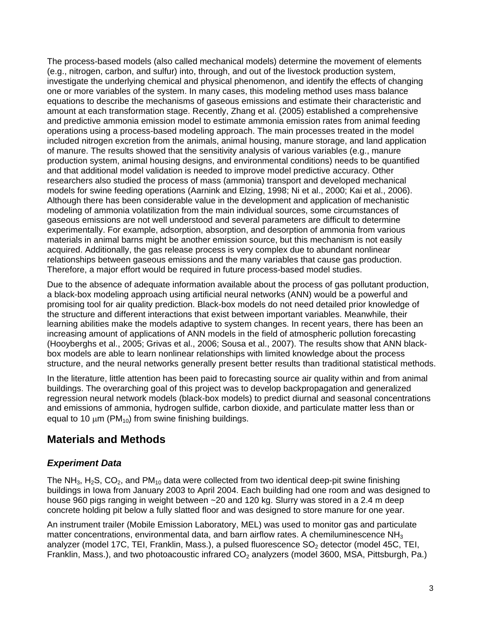The process-based models (also called mechanical models) determine the movement of elements (e.g., nitrogen, carbon, and sulfur) into, through, and out of the livestock production system, investigate the underlying chemical and physical phenomenon, and identify the effects of changing one or more variables of the system. In many cases, this modeling method uses mass balance equations to describe the mechanisms of gaseous emissions and estimate their characteristic and amount at each transformation stage. Recently, Zhang et al. (2005) established a comprehensive and predictive ammonia emission model to estimate ammonia emission rates from animal feeding operations using a process-based modeling approach. The main processes treated in the model included nitrogen excretion from the animals, animal housing, manure storage, and land application of manure. The results showed that the sensitivity analysis of various variables (e.g., manure production system, animal housing designs, and environmental conditions) needs to be quantified and that additional model validation is needed to improve model predictive accuracy. Other researchers also studied the process of mass (ammonia) transport and developed mechanical models for swine feeding operations (Aarnink and Elzing, 1998; Ni et al., 2000; Kai et al., 2006). Although there has been considerable value in the development and application of mechanistic modeling of ammonia volatilization from the main individual sources, some circumstances of gaseous emissions are not well understood and several parameters are difficult to determine experimentally. For example, adsorption, absorption, and desorption of ammonia from various materials in animal barns might be another emission source, but this mechanism is not easily acquired. Additionally, the gas release process is very complex due to abundant nonlinear relationships between gaseous emissions and the many variables that cause gas production. Therefore, a major effort would be required in future process-based model studies.

Due to the absence of adequate information available about the process of gas pollutant production, a black-box modeling approach using artificial neural networks (ANN) would be a powerful and promising tool for air quality prediction. Black-box models do not need detailed prior knowledge of the structure and different interactions that exist between important variables. Meanwhile, their learning abilities make the models adaptive to system changes. In recent years, there has been an increasing amount of applications of ANN models in the field of atmospheric pollution forecasting (Hooyberghs et al., 2005; Grivas et al., 2006; Sousa et al., 2007). The results show that ANN blackbox models are able to learn nonlinear relationships with limited knowledge about the process structure, and the neural networks generally present better results than traditional statistical methods.

In the literature, little attention has been paid to forecasting source air quality within and from animal buildings. The overarching goal of this project was to develop backpropagation and generalized regression neural network models (black-box models) to predict diurnal and seasonal concentrations and emissions of ammonia, hydrogen sulfide, carbon dioxide, and particulate matter less than or equal to 10  $\mu$ m (PM<sub>10</sub>) from swine finishing buildings.

## **Materials and Methods**

### *Experiment Data*

The NH<sub>3</sub>, H<sub>2</sub>S, CO<sub>2</sub>, and PM<sub>10</sub> data were collected from two identical deep-pit swine finishing buildings in Iowa from January 2003 to April 2004. Each building had one room and was designed to house 960 pigs ranging in weight between ~20 and 120 kg. Slurry was stored in a 2.4 m deep concrete holding pit below a fully slatted floor and was designed to store manure for one year.

An instrument trailer (Mobile Emission Laboratory, MEL) was used to monitor gas and particulate matter concentrations, environmental data, and barn airflow rates. A chemiluminescence  $NH<sub>3</sub>$ analyzer (model 17C, TEI, Franklin, Mass.), a pulsed fluorescence  $SO<sub>2</sub>$  detector (model 45C, TEI, Franklin, Mass.), and two photoacoustic infrared  $CO<sub>2</sub>$  analyzers (model 3600, MSA, Pittsburgh, Pa.)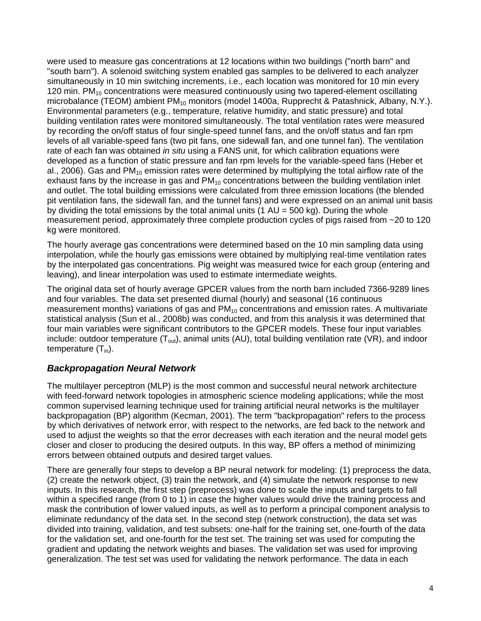were used to measure gas concentrations at 12 locations within two buildings ("north barn" and "south barn"). A solenoid switching system enabled gas samples to be delivered to each analyzer simultaneously in 10 min switching increments, i.e., each location was monitored for 10 min every 120 min. PM $_{10}$  concentrations were measured continuously using two tapered-element oscillating microbalance (TEOM) ambient PM<sub>10</sub> monitors (model 1400a, Rupprecht & Patashnick, Albany, N.Y.). Environmental parameters (e.g., temperature, relative humidity, and static pressure) and total building ventilation rates were monitored simultaneously. The total ventilation rates were measured by recording the on/off status of four single-speed tunnel fans, and the on/off status and fan rpm levels of all variable-speed fans (two pit fans, one sidewall fan, and one tunnel fan). The ventilation rate of each fan was obtained *in situ* using a FANS unit, for which calibration equations were developed as a function of static pressure and fan rpm levels for the variable-speed fans (Heber et al., 2006). Gas and  $PM_{10}$  emission rates were determined by multiplying the total airflow rate of the exhaust fans by the increase in gas and  $PM_{10}$  concentrations between the building ventilation inlet and outlet. The total building emissions were calculated from three emission locations (the blended pit ventilation fans, the sidewall fan, and the tunnel fans) and were expressed on an animal unit basis by dividing the total emissions by the total animal units  $(1 AU = 500 kg)$ . During the whole measurement period, approximately three complete production cycles of pigs raised from ~20 to 120 kg were monitored.

The hourly average gas concentrations were determined based on the 10 min sampling data using interpolation, while the hourly gas emissions were obtained by multiplying real-time ventilation rates by the interpolated gas concentrations. Pig weight was measured twice for each group (entering and leaving), and linear interpolation was used to estimate intermediate weights.

The original data set of hourly average GPCER values from the north barn included 7366-9289 lines and four variables. The data set presented diurnal (hourly) and seasonal (16 continuous measurement months) variations of gas and  $PM_{10}$  concentrations and emission rates. A multivariate statistical analysis (Sun et al., 2008b) was conducted, and from this analysis it was determined that four main variables were significant contributors to the GPCER models. These four input variables include: outdoor temperature  $(T<sub>out</sub>)$ , animal units (AU), total building ventilation rate (VR), and indoor temperature  $(T_{in})$ .

### *Backpropagation Neural Network*

The multilayer perceptron (MLP) is the most common and successful neural network architecture with feed-forward network topologies in atmospheric science modeling applications; while the most common supervised learning technique used for training artificial neural networks is the multilayer backpropagation (BP) algorithm (Kecman, 2001). The term "backpropagation" refers to the process by which derivatives of network error, with respect to the networks, are fed back to the network and used to adjust the weights so that the error decreases with each iteration and the neural model gets closer and closer to producing the desired outputs. In this way, BP offers a method of minimizing errors between obtained outputs and desired target values.

There are generally four steps to develop a BP neural network for modeling: (1) preprocess the data, (2) create the network object, (3) train the network, and (4) simulate the network response to new inputs. In this research, the first step (preprocess) was done to scale the inputs and targets to fall within a specified range (from 0 to 1) in case the higher values would drive the training process and mask the contribution of lower valued inputs, as well as to perform a principal component analysis to eliminate redundancy of the data set. In the second step (network construction), the data set was divided into training, validation, and test subsets: one-half for the training set, one-fourth of the data for the validation set, and one-fourth for the test set. The training set was used for computing the gradient and updating the network weights and biases. The validation set was used for improving generalization. The test set was used for validating the network performance. The data in each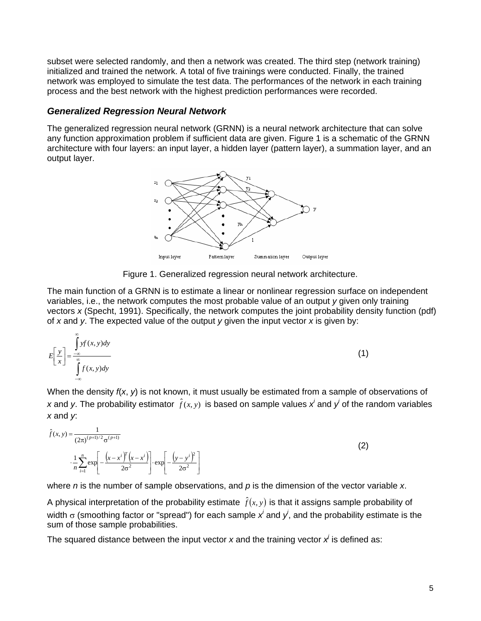subset were selected randomly, and then a network was created. The third step (network training) initialized and trained the network. A total of five trainings were conducted. Finally, the trained network was employed to simulate the test data. The performances of the network in each training process and the best network with the highest prediction performances were recorded.

#### *Generalized Regression Neural Network*

The generalized regression neural network (GRNN) is a neural network architecture that can solve any function approximation problem if sufficient data are given. Figure 1 is a schematic of the GRNN architecture with four layers: an input layer, a hidden layer (pattern layer), a summation layer, and an output layer.



Figure 1. Generalized regression neural network architecture.

The main function of a GRNN is to estimate a linear or nonlinear regression surface on independent variables, i.e., the network computes the most probable value of an output *y* given only training vectors *x* (Specht, 1991). Specifically, the network computes the joint probability density function (pdf) of *x* and *y*. The expected value of the output *y* given the input vector *x* is given by:

$$
E\left[\frac{y}{x}\right] = \frac{\int_{-\infty}^{\infty} yf(x, y)dy}{\int_{-\infty}^{\infty} f(x, y)dy}
$$
 (1)

When the density *f*(*x*, *y*) is not known, it must usually be estimated from a sample of observations of *x* and *y*. The probability estimator  $\hat{f}(x, y)$  is based on sample values *x<sup>i</sup>* and *y<sup>i</sup>* of the random variables *x* and *y*:

$$
\hat{f}(x, y) = \frac{1}{(2\pi)^{(p+1)/2} \sigma^{(p+1)}}
$$
\n
$$
\frac{1}{n} \sum_{i=1}^{n} \exp\left[-\frac{(x - x^{i})^{T} (x - x^{i})}{2\sigma^{2}}\right] \cdot \exp\left[-\frac{(y - y^{i})^{2}}{2\sigma^{2}}\right]
$$
\n(2)

where *n* is the number of sample observations, and *p* is the dimension of the vector variable *x*.

A physical interpretation of the probability estimate  $\hat{f}(x, y)$  is that it assigns sample probability of width σ (smoothing factor or "spread") for each sample x<sup>*i*</sup> and y<sup>*i*</sup>, and the probability estimate is the sum of those sample probabilities.

The squared distance between the input vector x and the training vector  $x<sup>j</sup>$  is defined as: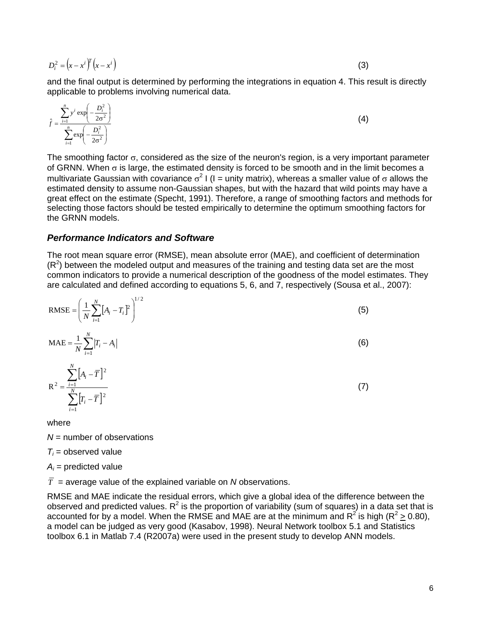$$
D_i^2 = \left(x - x^i\right)^T \left(x - x^i\right) \tag{3}
$$

and the final output is determined by performing the integrations in equation 4. This result is directly applicable to problems involving numerical data.

$$
\hat{f} = \frac{\sum_{i=1}^{n} y^{i} \exp\left(-\frac{D_i^2}{2\sigma^2}\right)}{\sum_{i=1}^{n} \exp\left(-\frac{D_i^2}{2\sigma^2}\right)}
$$
(4)

The smoothing factor  $\sigma$ , considered as the size of the neuron's region, is a very important parameter of GRNN. When  $\sigma$  is large, the estimated density is forced to be smooth and in the limit becomes a multivariate Gaussian with covariance  $\sigma^2$  I (I = unity matrix), whereas a smaller value of  $\sigma$  allows the estimated density to assume non-Gaussian shapes, but with the hazard that wild points may have a great effect on the estimate (Specht, 1991). Therefore, a range of smoothing factors and methods for selecting those factors should be tested empirically to determine the optimum smoothing factors for the GRNN models.

#### *Performance Indicators and Software*

The root mean square error (RMSE), mean absolute error (MAE), and coefficient of determination  $(R<sup>2</sup>)$  between the modeled output and measures of the training and testing data set are the most common indicators to provide a numerical description of the goodness of the model estimates. They are calculated and defined according to equations 5, 6, and 7, respectively (Sousa et al., 2007):

RMSE = 
$$
\left(\frac{1}{N} \sum_{i=1}^{N} [A_i - T_i]^2\right)^{1/2}
$$
 (5)  
\nMAE =  $\frac{1}{N} \sum_{i=1}^{N} |T_i - A_i|$  (6)  
\n $\sum_{i=1}^{N} [A_i - \overline{T}]^2$ 

$$
R^{2} = \frac{\frac{1}{i-1}}{\sum_{i=1}^{N} [T_{i} - \overline{T} ]^{2}}
$$
 (7)

where

*N* = number of observations

 $T_i$  = observed value

 $A_i$  = predicted value

 $\overline{T}$  = average value of the explained variable on *N* observations.

RMSE and MAE indicate the residual errors, which give a global idea of the difference between the observed and predicted values. R<sup>2</sup> is the proportion of variability (sum of squares) in a data set that is accounted for by a model. When the RMSE and MAE are at the minimum and R<sup>2</sup> is high (R<sup>2</sup>  $\geq$  0.80), a model can be judged as very good (Kasabov, 1998). Neural Network toolbox 5.1 and Statistics toolbox 6.1 in Matlab 7.4 (R2007a) were used in the present study to develop ANN models.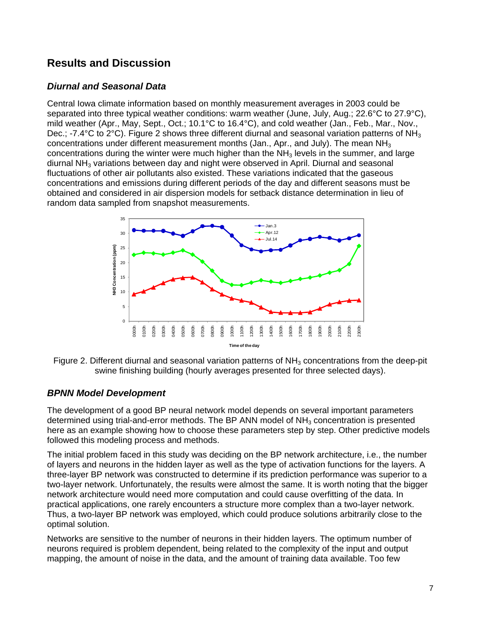## **Results and Discussion**

### *Diurnal and Seasonal Data*

Central Iowa climate information based on monthly measurement averages in 2003 could be separated into three typical weather conditions: warm weather (June, July, Aug.; 22.6°C to 27.9°C), mild weather (Apr., May, Sept., Oct.; 10.1°C to 16.4°C), and cold weather (Jan., Feb., Mar., Nov., Dec.; -7.4°C to 2°C). Figure 2 shows three different diurnal and seasonal variation patterns of NH<sub>3</sub> concentrations under different measurement months (Jan., Apr., and July). The mean  $NH<sub>3</sub>$ concentrations during the winter were much higher than the  $NH<sub>3</sub>$  levels in the summer, and large diurnal  $NH<sub>3</sub>$  variations between day and night were observed in April. Diurnal and seasonal fluctuations of other air pollutants also existed. These variations indicated that the gaseous concentrations and emissions during different periods of the day and different seasons must be obtained and considered in air dispersion models for setback distance determination in lieu of random data sampled from snapshot measurements.





### *BPNN Model Development*

The development of a good BP neural network model depends on several important parameters determined using trial-and-error methods. The BP ANN model of  $NH<sub>3</sub>$  concentration is presented here as an example showing how to choose these parameters step by step. Other predictive models followed this modeling process and methods.

The initial problem faced in this study was deciding on the BP network architecture, i.e., the number of layers and neurons in the hidden layer as well as the type of activation functions for the layers. A three-layer BP network was constructed to determine if its prediction performance was superior to a two-layer network. Unfortunately, the results were almost the same. It is worth noting that the bigger network architecture would need more computation and could cause overfitting of the data. In practical applications, one rarely encounters a structure more complex than a two-layer network. Thus, a two-layer BP network was employed, which could produce solutions arbitrarily close to the optimal solution.

Networks are sensitive to the number of neurons in their hidden layers. The optimum number of neurons required is problem dependent, being related to the complexity of the input and output mapping, the amount of noise in the data, and the amount of training data available. Too few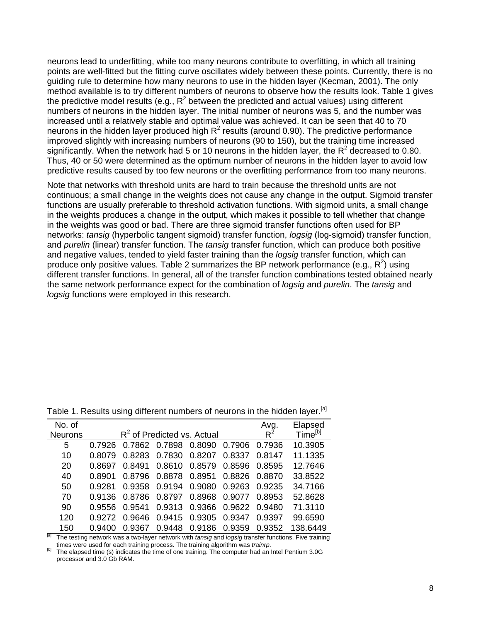neurons lead to underfitting, while too many neurons contribute to overfitting, in which all training points are well-fitted but the fitting curve oscillates widely between these points. Currently, there is no guiding rule to determine how many neurons to use in the hidden layer (Kecman, 2001). The only method available is to try different numbers of neurons to observe how the results look. Table 1 gives the predictive model results (e.g.,  $R^2$  between the predicted and actual values) using different numbers of neurons in the hidden layer. The initial number of neurons was 5, and the number was increased until a relatively stable and optimal value was achieved. It can be seen that 40 to 70 neurons in the hidden layer produced high  $R^2$  results (around 0.90). The predictive performance improved slightly with increasing numbers of neurons (90 to 150), but the training time increased significantly. When the network had 5 or 10 neurons in the hidden layer, the R<sup>2</sup> decreased to 0.80. Thus, 40 or 50 were determined as the optimum number of neurons in the hidden layer to avoid low predictive results caused by too few neurons or the overfitting performance from too many neurons.

Note that networks with threshold units are hard to train because the threshold units are not continuous; a small change in the weights does not cause any change in the output. Sigmoid transfer functions are usually preferable to threshold activation functions. With sigmoid units, a small change in the weights produces a change in the output, which makes it possible to tell whether that change in the weights was good or bad. There are three sigmoid transfer functions often used for BP networks: *tansig* (hyperbolic tangent sigmoid) transfer function, *logsig* (log-sigmoid) transfer function, and *purelin* (linear) transfer function. The *tansig* transfer function, which can produce both positive and negative values, tended to yield faster training than the *logsig* transfer function, which can produce only positive values. Table 2 summarizes the BP network performance (e.g.,  $R^2$ ) using different transfer functions. In general, all of the transfer function combinations tested obtained nearly the same network performance expect for the combination of *logsig* and *purelin*. The *tansig* and *logsig* functions were employed in this research.

| No. of         |        |                              |               |                     |        | Avg.   | Elapsed  |
|----------------|--------|------------------------------|---------------|---------------------|--------|--------|----------|
| <b>Neurons</b> |        | $R2$ of Predicted vs. Actual | $R^{\bar{2}}$ | Time <sup>[b]</sup> |        |        |          |
| 5              | 0.7926 | 0.7862                       | 0.7898        | 0.8090              | 0.7906 | 0.7936 | 10.3905  |
| 10             | 0.8079 | 0.8283                       | 0.7830        | 0.8207              | 0.8337 | 0.8147 | 11.1335  |
| 20             | 0.8697 | 0.8491                       | 0.8610        | 0.8579              | 0.8596 | 0.8595 | 12.7646  |
| 40             | 0.8901 | 0.8796                       | 0.8878        | 0.8951              | 0.8826 | 0.8870 | 33.8522  |
| 50             | 0.9281 | 0.9358                       | 0.9194        | 0.9080              | 0.9263 | 0.9235 | 34.7166  |
| 70             | 0.9136 | 0.8786                       | 0.8797        | 0.8968              | 0.9077 | 0.8953 | 52.8628  |
| 90             | 0.9556 | 0.9541                       | 0.9313        | 0.9366              | 0.9622 | 0.9480 | 71.3110  |
| 120            | 0.9272 | 0.9646                       | 0.9415        | 0.9305              | 0.9347 | 0.9397 | 99.6590  |
| 150            | N 9400 | 0.9367                       | 0.9448        | 0.9186              | 0.9359 | 0.9352 | 138.6449 |

Table 1. Results using different numbers of neurons in the hidden layer.<sup>[a]</sup>

The testing network was a two-layer network with *tansig* and *logsig* transfer functions. Five training times were used for each training process. The training algorithm was *training*.

The elapsed time (s) indicates the time of one training. The computer had an Intel Pentium 3.0G processor and 3.0 Gb RAM.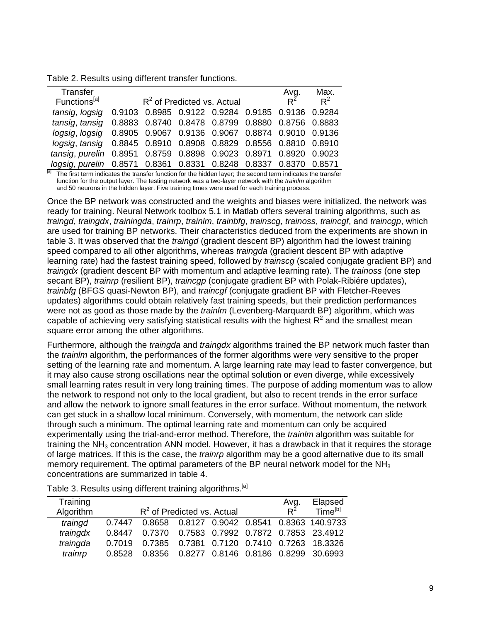| Transfer<br>Functions <sup>[a]</sup> $R^2$ of Predicted vs. Actual |  | Avg.<br>R <sup>2</sup> | Max.<br>$R^2$ |  |  |
|--------------------------------------------------------------------|--|------------------------|---------------|--|--|
| tansig, logsig 0.9103 0.8985 0.9122 0.9284 0.9185 0.9136 0.9284    |  |                        |               |  |  |
| tansig, tansig 0.8883 0.8740 0.8478 0.8799 0.8880 0.8756 0.8883    |  |                        |               |  |  |
| logsig, logsig 0.8905 0.9067 0.9136 0.9067 0.8874 0.9010 0.9136    |  |                        |               |  |  |
| logsig, tansig 0.8845 0.8910 0.8908 0.8829 0.8556 0.8810 0.8910    |  |                        |               |  |  |
| tansig, purelin 0.8951 0.8759 0.8898 0.9023 0.8971 0.8920 0.9023   |  |                        |               |  |  |
| logsig, purelin 0.8571 0.8361 0.8331 0.8248 0.8337 0.8370 0.8571   |  |                        |               |  |  |

Table 2. Results using different transfer functions.

The first term indicates the transfer function for the hidden layer; the second term indicates the transfer function for the output layer. The testing network was a two-layer network with the *trainlm* algorithm and 50 neurons in the hidden layer. Five training times were used for each training process.

Once the BP network was constructed and the weights and biases were initialized, the network was ready for training. Neural Network toolbox 5.1 in Matlab offers several training algorithms, such as *traingd*, *traingdx*, *trainingda*, *trainrp*, *trainlm*, *trainbfg*, *trainscg*, *trainoss*, *traincgf*, and *traincgp*, which are used for training BP networks. Their characteristics deduced from the experiments are shown in table 3. It was observed that the *traingd* (gradient descent BP) algorithm had the lowest training speed compared to all other algorithms, whereas *traingda* (gradient descent BP with adaptive learning rate) had the fastest training speed, followed by *trainscg* (scaled conjugate gradient BP) and *traingdx* (gradient descent BP with momentum and adaptive learning rate). The *trainoss* (one step secant BP), *trainrp* (resilient BP), *traincgp* (conjugate gradient BP with Polak-Ribiére updates), *trainbfg* (BFGS quasi-Newton BP), and *traincgf* (conjugate gradient BP with Fletcher-Reeves updates) algorithms could obtain relatively fast training speeds, but their prediction performances were not as good as those made by the *trainlm* (Levenberg-Marquardt BP) algorithm, which was capable of achieving very satisfying statistical results with the highest  $R^2$  and the smallest mean square error among the other algorithms.

Furthermore, although the *traingda* and *traingdx* algorithms trained the BP network much faster than the *trainlm* algorithm, the performances of the former algorithms were very sensitive to the proper setting of the learning rate and momentum. A large learning rate may lead to faster convergence, but it may also cause strong oscillations near the optimal solution or even diverge, while excessively small learning rates result in very long training times. The purpose of adding momentum was to allow the network to respond not only to the local gradient, but also to recent trends in the error surface and allow the network to ignore small features in the error surface. Without momentum, the network can get stuck in a shallow local minimum. Conversely, with momentum, the network can slide through such a minimum. The optimal learning rate and momentum can only be acquired experimentally using the trial-and-error method. Therefore, the *trainlm* algorithm was suitable for training the  $NH<sub>3</sub>$  concentration ANN model. However, it has a drawback in that it requires the storage of large matrices. If this is the case, the *trainrp* algorithm may be a good alternative due to its small memory requirement. The optimal parameters of the BP neural network model for the  $NH<sub>3</sub>$ concentrations are summarized in table 4.

| Training<br>Algorithm |        | $R2$ of Predicted vs. Actual |  | Avg.<br>$R^2$ | Elapsed<br>Time <sup>[b]</sup>                   |
|-----------------------|--------|------------------------------|--|---------------|--------------------------------------------------|
| traingd               | 0.7447 |                              |  |               | 0.8658  0.8127  0.9042  0.8541  0.8363  140.9733 |
| traingdx              | 0.8447 |                              |  |               | 0.7370  0.7583  0.7992  0.7872  0.7853  23.4912  |
| traingda              | 0.7019 | 0.7385                       |  |               | 0.7381  0.7120  0.7410  0.7263  18.3326          |
| trainrp               | 0.8528 | 0.8356                       |  |               | 0.8277 0.8146 0.8186 0.8299 30.6993              |

Table 3. Results using different training algorithms.<sup>[a]</sup>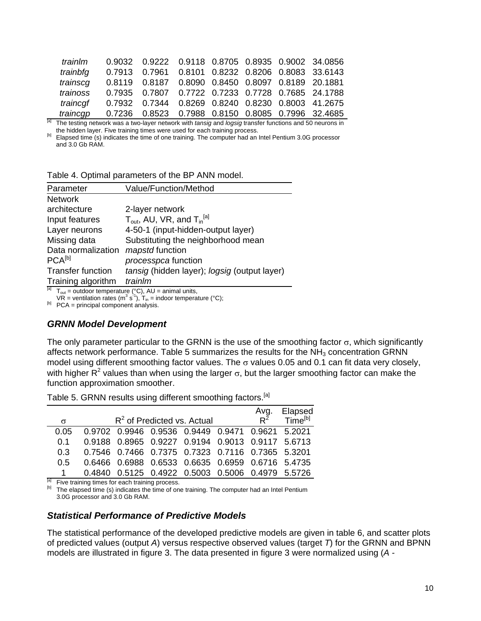| trainlm  |                                                         |  |  | 0.9032 0.9222 0.9118 0.8705 0.8935 0.9002 34.0856       |
|----------|---------------------------------------------------------|--|--|---------------------------------------------------------|
| trainbfg |                                                         |  |  | 0.7913  0.7961  0.8101  0.8232  0.8206  0.8083  33.6143 |
| trainscg | 0.8119  0.8187  0.8090  0.8450  0.8097  0.8189  20.1881 |  |  |                                                         |
| trainoss |                                                         |  |  | 0.7935  0.7807  0.7722  0.7233  0.7728  0.7685  24.1788 |
| traincgf |                                                         |  |  | 0.7932  0.7344  0.8269  0.8240  0.8230  0.8003  41.2675 |
| traincgp |                                                         |  |  | 0.7236  0.8523  0.7988  0.8150  0.8085  0.7996  32.4685 |

[a] The testing network was a two-layer network with *tansig* and *logsig* transfer functions and 50 neurons in the hidden layer. Five training times were used for each training process.

Elapsed time (s) indicates the time of one training. The computer had an Intel Pentium 3.0G processor and 3.0 Gb RAM.

Table 4. Optimal parameters of the BP ANN model.

| Parameter                                                       | Value/Function/Method                                |  |  |  |  |  |
|-----------------------------------------------------------------|------------------------------------------------------|--|--|--|--|--|
| <b>Network</b>                                                  |                                                      |  |  |  |  |  |
| architecture                                                    | 2-layer network                                      |  |  |  |  |  |
| Input features                                                  | $T_{\text{out}}$ , AU, VR, and $T_{\text{in}}^{[a]}$ |  |  |  |  |  |
| Layer neurons                                                   | 4-50-1 (input-hidden-output layer)                   |  |  |  |  |  |
| Missing data                                                    | Substituting the neighborhood mean                   |  |  |  |  |  |
| Data normalization                                              | mapstd function                                      |  |  |  |  |  |
| PCA <sup>[b]</sup>                                              | processpca function                                  |  |  |  |  |  |
| <b>Transfer function</b>                                        | tansig (hidden layer); logsig (output layer)         |  |  |  |  |  |
| Training algorithm                                              | trainlm                                              |  |  |  |  |  |
| [a]<br>$T_{out}$ = outdoor temperature (°C). AU = animal units. |                                                      |  |  |  |  |  |

 $T<sub>out</sub>$  = outdoor temperature (°C), AU = animal units,

VR = ventilation rates (m<sup>3</sup> s<sup>-1</sup>), T<sub>in</sub> = indoor temperature (°C);<br><sup>[b]</sup> PCA = principal component analysis.

#### *GRNN Model Development*

The only parameter particular to the GRNN is the use of the smoothing factor  $\sigma$ , which significantly affects network performance. Table 5 summarizes the results for the  $NH<sub>3</sub>$  concentration GRNN model using different smoothing factor values. The  $\sigma$  values 0.05 and 0.1 can fit data very closely, with higher R<sup>2</sup> values than when using the larger  $\sigma$ , but the larger smoothing factor can make the function approximation smoother.

|          |                               |  |                                                        |  |  | Avg. Elapsed<br>R <sup>2</sup> Time <sup>[b]</sup> |  |  |
|----------|-------------------------------|--|--------------------------------------------------------|--|--|----------------------------------------------------|--|--|
| $\sigma$ | $R^2$ of Predicted vs. Actual |  |                                                        |  |  |                                                    |  |  |
| 0 05     |                               |  | 0.9702 0.9946 0.9536 0.9449 0.9471 0.9621 5.2021       |  |  |                                                    |  |  |
| 0.1      |                               |  | 0.9188  0.8965  0.9227  0.9194  0.9013  0.9117  5.6713 |  |  |                                                    |  |  |
| 0.3      |                               |  | 0.7546  0.7466  0.7375  0.7323  0.7116  0.7365  5.3201 |  |  |                                                    |  |  |
| 0.5      |                               |  | 0.6466  0.6988  0.6533  0.6635  0.6959  0.6716  5.4735 |  |  |                                                    |  |  |
| 1        |                               |  | 0.4840  0.5125  0.4922  0.5003  0.5006  0.4979  5.5726 |  |  |                                                    |  |  |

Table 5. GRNN results using different smoothing factors.<sup>[a]</sup>

<sup>[a]</sup> Five training times for each training process.<br><sup>[b]</sup> The elapsed time (s) indicates the time of one training. The computer had an Intel Pentium 3.0G processor and 3.0 Gb RAM.

#### *Statistical Performance of Predictive Models*

The statistical performance of the developed predictive models are given in table 6, and scatter plots of predicted values (output *A*) versus respective observed values (target *T*) for the GRNN and BPNN models are illustrated in figure 3. The data presented in figure 3 were normalized using (*A -*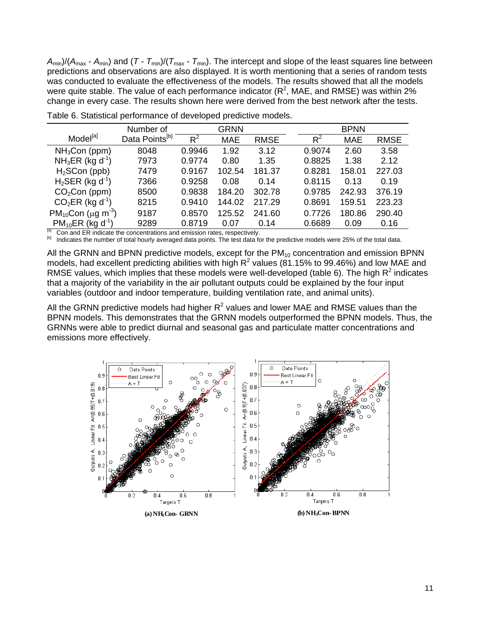*A*min)/(*A*max *- A*min) and (*T - T*min)/(*T*max *- T*min). The intercept and slope of the least squares line between predictions and observations are also displayed. It is worth mentioning that a series of random tests was conducted to evaluate the effectiveness of the models. The results showed that all the models were quite stable. The value of each performance indicator ( $\mathsf{R}^2$ , MAE, and RMSE) was within 2% change in every case. The results shown here were derived from the best network after the tests.

|                                                  | Number of                  |        | GRNN       |             |  |        | <b>BPNN</b> |             |
|--------------------------------------------------|----------------------------|--------|------------|-------------|--|--------|-------------|-------------|
| Model <sup>[a]</sup>                             | Data Points <sup>[b]</sup> | $R^2$  | <b>MAE</b> | <b>RMSE</b> |  | $R^2$  | <b>MAE</b>  | <b>RMSE</b> |
| $NH3Con$ (ppm)                                   | 8048                       | 0.9946 | 1.92       | 3.12        |  | 0.9074 | 2.60        | 3.58        |
| $NH3ER$ (kg d <sup>-1</sup> )                    | 7973                       | 0.9774 | 0.80       | 1.35        |  | 0.8825 | 1.38        | 2.12        |
| $H2SCon$ (ppb)                                   | 7479                       | 0.9167 | 102.54     | 181.37      |  | 0.8281 | 158.01      | 227.03      |
| $H_2$ SER (kg d <sup>-1</sup> )                  | 7366                       | 0.9258 | 0.08       | 0.14        |  | 0.8115 | 0.13        | 0.19        |
| $CO2Con$ (ppm)                                   | 8500                       | 0.9838 | 184.20     | 302.78      |  | 0.9785 | 242.93      | 376.19      |
| $CO2ER (kg d-1)$                                 | 8215                       | 0.9410 | 144.02     | 217.29      |  | 0.8691 | 159.51      | 223.23      |
| PM <sub>10</sub> Con ( $\mu$ g m <sup>-3</sup> ) | 9187                       | 0.8570 | 125.52     | 241.60      |  | 0.7726 | 180.86      | 290.40      |
| $PM_{10}ER$ (kg d <sup>-1</sup> )                | 9289                       | 0.8719 | 0.07       | 0.14        |  | 0.6689 | 0.09        | 0.16        |

Table 6. Statistical performance of developed predictive models.

Con and ER indicate the concentrations and emission rates, respectively.<br>Indicates the number of total hourly averaged data points. The test data for the predictive models were 25% of the total data.

All the GRNN and BPNN predictive models, except for the  $PM_{10}$  concentration and emission BPNN models, had excellent predicting abilities with high  $R^2$  values (81.15% to 99.46%) and low MAE and RMSE values, which implies that these models were well-developed (table 6). The high  $R^2$  indicates that a majority of the variability in the air pollutant outputs could be explained by the four input variables (outdoor and indoor temperature, building ventilation rate, and animal units).

All the GRNN predictive models had higher  $R^2$  values and lower MAE and RMSE values than the BPNN models. This demonstrates that the GRNN models outperformed the BPNN models. Thus, the GRNNs were able to predict diurnal and seasonal gas and particulate matter concentrations and emissions more effectively.

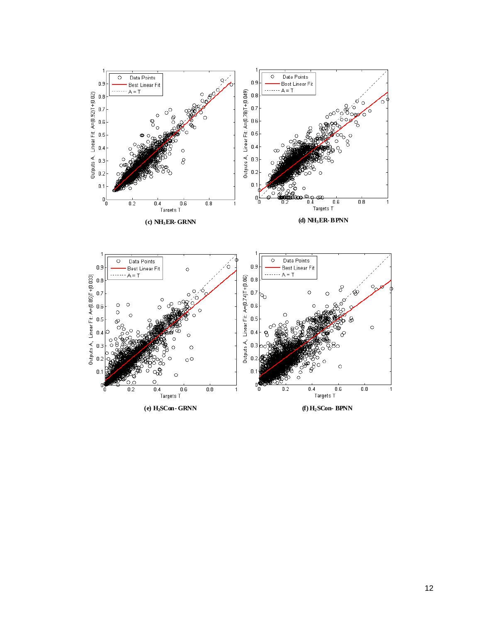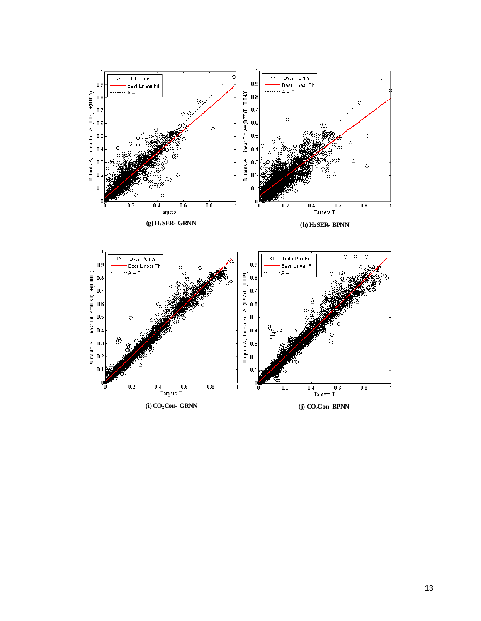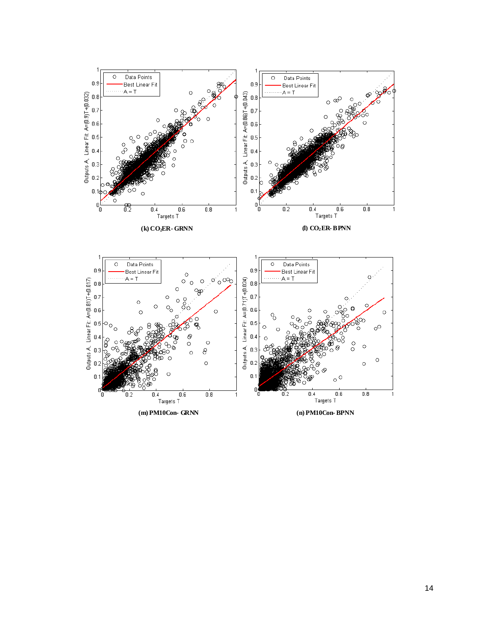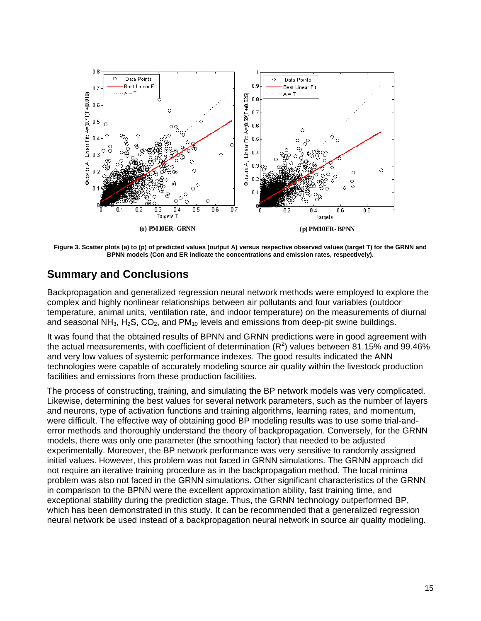

**Figure 3. Scatter plots (a) to (p) of predicted values (output A) versus respective observed values (target T) for the GRNN and BPNN models (Con and ER indicate the concentrations and emission rates, respectively).** 

## **Summary and Conclusions**

Backpropagation and generalized regression neural network methods were employed to explore the complex and highly nonlinear relationships between air pollutants and four variables (outdoor temperature, animal units, ventilation rate, and indoor temperature) on the measurements of diurnal and seasonal NH<sub>3</sub>, H<sub>2</sub>S, CO<sub>2</sub>, and PM<sub>10</sub> levels and emissions from deep-pit swine buildings.

It was found that the obtained results of BPNN and GRNN predictions were in good agreement with the actual measurements, with coefficient of determination ( $R^2$ ) values between 81.15% and 99.46% and very low values of systemic performance indexes. The good results indicated the ANN technologies were capable of accurately modeling source air quality within the livestock production facilities and emissions from these production facilities.

The process of constructing, training, and simulating the BP network models was very complicated. Likewise, determining the best values for several network parameters, such as the number of layers and neurons, type of activation functions and training algorithms, learning rates, and momentum, were difficult. The effective way of obtaining good BP modeling results was to use some trial-anderror methods and thoroughly understand the theory of backpropagation. Conversely, for the GRNN models, there was only one parameter (the smoothing factor) that needed to be adjusted experimentally. Moreover, the BP network performance was very sensitive to randomly assigned initial values. However, this problem was not faced in GRNN simulations. The GRNN approach did not require an iterative training procedure as in the backpropagation method. The local minima problem was also not faced in the GRNN simulations. Other significant characteristics of the GRNN in comparison to the BPNN were the excellent approximation ability, fast training time, and exceptional stability during the prediction stage. Thus, the GRNN technology outperformed BP, which has been demonstrated in this study. It can be recommended that a generalized regression neural network be used instead of a backpropagation neural network in source air quality modeling.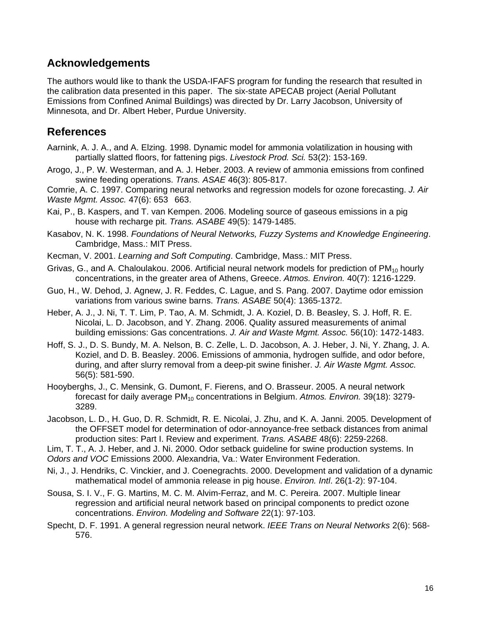### **Acknowledgements**

The authors would like to thank the USDA-IFAFS program for funding the research that resulted in the calibration data presented in this paper. The six-state APECAB project (Aerial Pollutant Emissions from Confined Animal Buildings) was directed by Dr. Larry Jacobson, University of Minnesota, and Dr. Albert Heber, Purdue University.

### **References**

- Aarnink, A. J. A., and A. Elzing. 1998. Dynamic model for ammonia volatilization in housing with partially slatted floors, for fattening pigs. *Livestock Prod. Sci.* 53(2): 153-169.
- Arogo, J., P. W. Westerman, and A. J. Heber. 2003. A review of ammonia emissions from confined swine feeding operations. *Trans. ASAE* 46(3): 805-817.

Comrie, A. C. 1997. Comparing neural networks and regression models for ozone forecasting. *J. Air Waste Mgmt. Assoc.* 47(6): 653 663.

- Kai, P., B. Kaspers, and T. van Kempen. 2006. Modeling source of gaseous emissions in a pig house with recharge pit. *Trans. ASABE* 49(5): 1479-1485.
- Kasabov, N. K. 1998. *Foundations of Neural Networks, Fuzzy Systems and Knowledge Engineering*. Cambridge, Mass.: MIT Press.
- Kecman, V. 2001. *Learning and Soft Computing*. Cambridge, Mass.: MIT Press.
- Grivas, G., and A. Chaloulakou. 2006. Artificial neural network models for prediction of  $PM_{10}$  hourly concentrations, in the greater area of Athens, Greece. *Atmos. Environ.* 40(7): 1216-1229.
- Guo, H., W. Dehod, J. Agnew, J. R. Feddes, C. Lague, and S. Pang. 2007. Daytime odor emission variations from various swine barns. *Trans. ASABE* 50(4): 1365-1372.
- Heber, A. J., J. Ni, T. T. Lim, P. Tao, A. M. Schmidt, J. A. Koziel, D. B. Beasley, S. J. Hoff, R. E. Nicolai, L. D. Jacobson, and Y. Zhang. 2006. Quality assured measurements of animal building emissions: Gas concentrations. *J. Air and Waste Mgmt. Assoc.* 56(10): 1472-1483.
- Hoff, S. J., D. S. Bundy, M. A. Nelson, B. C. Zelle, L. D. Jacobson, A. J. Heber, J. Ni, Y. Zhang, J. A. Koziel, and D. B. Beasley. 2006. Emissions of ammonia, hydrogen sulfide, and odor before, during, and after slurry removal from a deep-pit swine finisher. *J. Air Waste Mgmt. Assoc.* 56(5): 581-590.
- Hooyberghs, J., C. Mensink, G. Dumont, F. Fierens, and O. Brasseur. 2005. A neural network forecast for daily average PM<sub>10</sub> concentrations in Belgium. Atmos. Environ. 39(18): 3279-3289.
- Jacobson, L. D., H. Guo, D. R. Schmidt, R. E. Nicolai, J. Zhu, and K. A. Janni. 2005. Development of the OFFSET model for determination of odor-annoyance-free setback distances from animal production sites: Part I. Review and experiment. *Trans. ASABE* 48(6): 2259-2268.

Lim, T. T., A. J. Heber, and J. Ni. 2000. Odor setback guideline for swine production systems. In *Odors and VOC* Emissions 2000. Alexandria, Va.: Water Environment Federation.

- Ni, J., J. Hendriks, C. Vinckier, and J. Coenegrachts. 2000. Development and validation of a dynamic mathematical model of ammonia release in pig house. *Environ. Intl*. 26(1-2): 97-104.
- Sousa, S. I. V., F. G. Martins, M. C. M. Alvim-Ferraz, and M. C. Pereira. 2007. Multiple linear regression and artificial neural network based on principal components to predict ozone concentrations. *Environ. Modeling and Software* 22(1): 97-103.
- Specht, D. F. 1991. A general regression neural network. *IEEE Trans on Neural Networks* 2(6): 568- 576.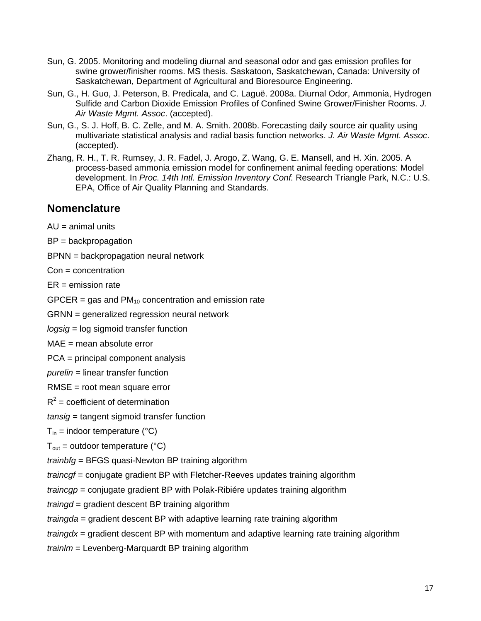- Sun, G. 2005. Monitoring and modeling diurnal and seasonal odor and gas emission profiles for swine grower/finisher rooms. MS thesis. Saskatoon, Saskatchewan, Canada: University of Saskatchewan, Department of Agricultural and Bioresource Engineering.
- Sun, G., H. Guo, J. Peterson, B. Predicala, and C. Laguë. 2008a. Diurnal Odor, Ammonia, Hydrogen Sulfide and Carbon Dioxide Emission Profiles of Confined Swine Grower/Finisher Rooms. *J. Air Waste Mgmt. Assoc*. (accepted).
- Sun, G., S. J. Hoff, B. C. Zelle, and M. A. Smith. 2008b. Forecasting daily source air quality using multivariate statistical analysis and radial basis function networks. *J. Air Waste Mgmt. Assoc*. (accepted).
- Zhang, R. H., T. R. Rumsey, J. R. Fadel, J. Arogo, Z. Wang, G. E. Mansell, and H. Xin. 2005. A process-based ammonia emission model for confinement animal feeding operations: Model development. In *Proc. 14th Intl. Emission Inventory Conf.* Research Triangle Park, N.C.: U.S. EPA, Office of Air Quality Planning and Standards.

## **Nomenclature**

 $AU =$  animal units

BP = backpropagation

BPNN = backpropagation neural network

Con = concentration

 $ER =$ emission rate

GPCER = gas and  $PM_{10}$  concentration and emission rate

GRNN = generalized regression neural network

*logsig* = log sigmoid transfer function

MAE = mean absolute error

PCA = principal component analysis

*purelin* = linear transfer function

RMSE = root mean square error

 $R^2$  = coefficient of determination

*tansig* = tangent sigmoid transfer function

 $T_{in}$  = indoor temperature (°C)

 $T_{\text{out}}$  = outdoor temperature (°C)

*trainbfg* = BFGS quasi-Newton BP training algorithm

*traincgf* = conjugate gradient BP with Fletcher-Reeves updates training algorithm

*traincgp* = conjugate gradient BP with Polak-Ribiére updates training algorithm

*traingd* = gradient descent BP training algorithm

*traingda* = gradient descent BP with adaptive learning rate training algorithm

*traingdx* = gradient descent BP with momentum and adaptive learning rate training algorithm

*trainlm* = Levenberg-Marquardt BP training algorithm